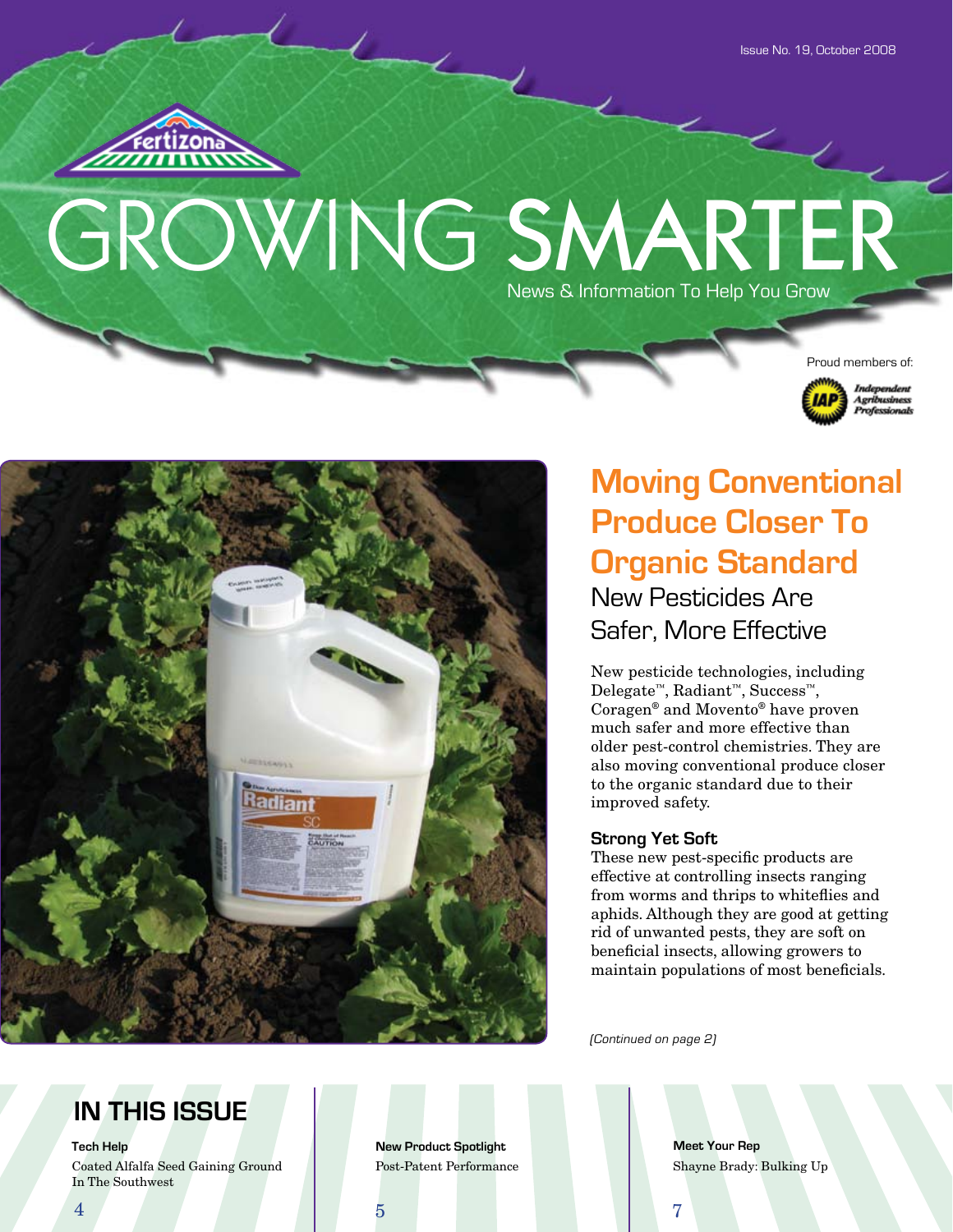$\overline{\epsilon}$ 



# GROWING SMARTER News & Information To Help You Grow





# **Moving Conventional Produce Closer To Organic Standard** New Pesticides Are Safer, More Effective

New pesticide technologies, including Delegate™, Radiant™, Success™, Coragen® and Movento® have proven much safer and more effective than older pest-control chemistries. They are also moving conventional produce closer to the organic standard due to their improved safety.

#### **Strong Yet Soft**

These new pest-specific products are effective at controlling insects ranging from worms and thrips to whiteflies and aphids. Although they are good at getting rid of unwanted pests, they are soft on beneficial insects, allowing growers to maintain populations of most beneficials.

(Continued on page 2)

# **IN THIS ISSUE**

Coated Alfalfa Seed Gaining Ground Post-Patent Performance In The Southwest

**Tech Help New Product Spotlight** 

**Meet Your Rep** Shayne Brady: Bulking Up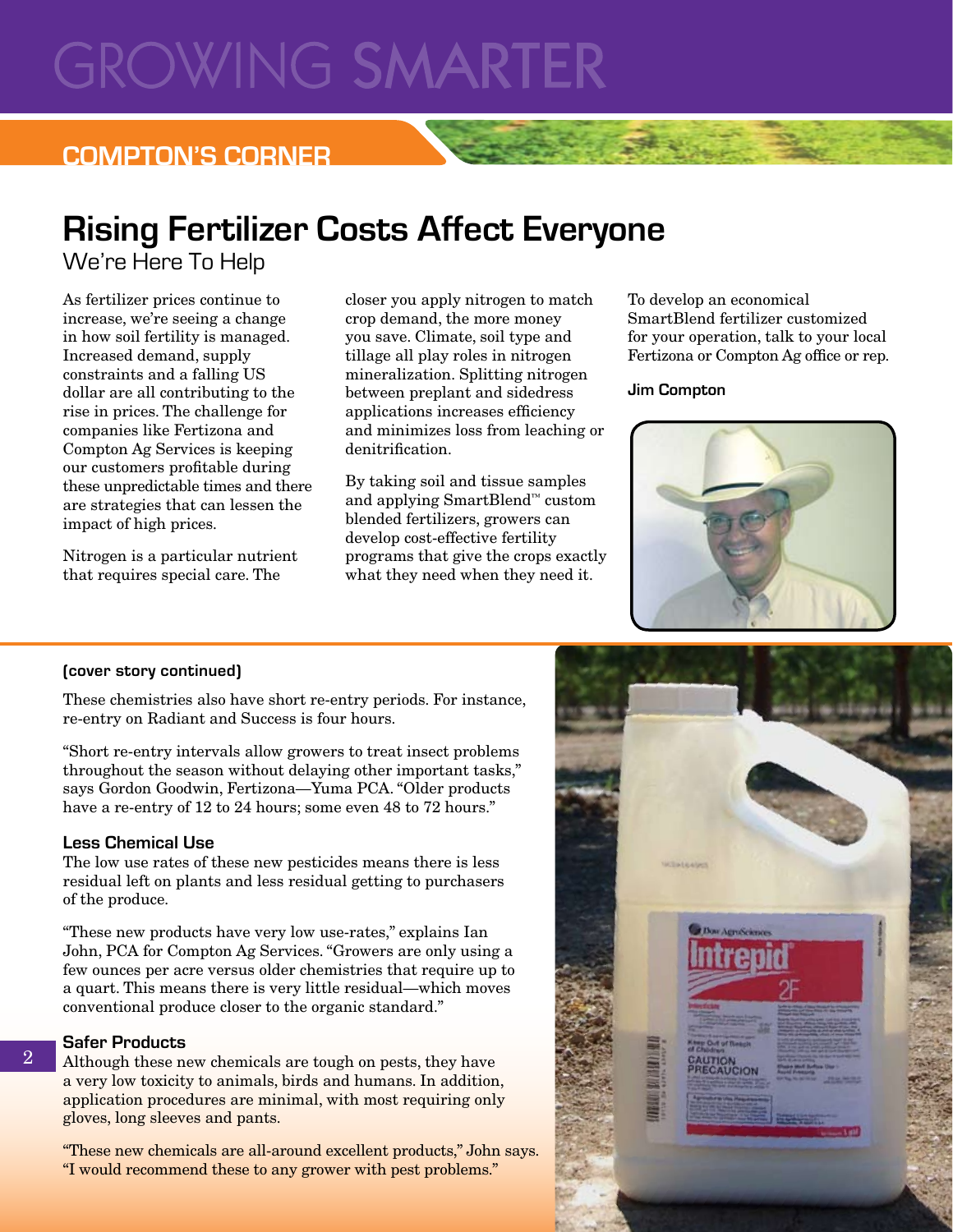# **GROWING SMARTER**

### **COMPTON'S CORNER**

# **Rising Fertilizer Costs Affect Everyone**

We're Here To Help

As fertilizer prices continue to increase, we're seeing a change in how soil fertility is managed. Increased demand, supply constraints and a falling US dollar are all contributing to the rise in prices. The challenge for companies like Fertizona and Compton Ag Services is keeping our customers profitable during these unpredictable times and there are strategies that can lessen the impact of high prices.

Nitrogen is a particular nutrient that requires special care. The

closer you apply nitrogen to match crop demand, the more money you save. Climate, soil type and tillage all play roles in nitrogen mineralization. Splitting nitrogen between preplant and sidedress applications increases efficiency and minimizes loss from leaching or denitrification.

By taking soil and tissue samples and applying SmartBlend™ custom blended fertilizers, growers can develop cost-effective fertility programs that give the crops exactly what they need when they need it.

To develop an economical SmartBlend fertilizer customized for your operation, talk to your local Fertizona or Compton Ag office or rep.

#### **Jim Compton**



#### **(cover story continued)**

These chemistries also have short re-entry periods. For instance, re-entry on Radiant and Success is four hours.

"Short re-entry intervals allow growers to treat insect problems throughout the season without delaying other important tasks," says Gordon Goodwin, Fertizona—Yuma PCA. "Older products have a re-entry of 12 to 24 hours; some even 48 to 72 hours."

#### **Less Chemical Use**

The low use rates of these new pesticides means there is less residual left on plants and less residual getting to purchasers of the produce.

"These new products have very low use-rates," explains Ian John, PCA for Compton Ag Services. "Growers are only using a few ounces per acre versus older chemistries that require up to a quart. This means there is very little residual—which moves conventional produce closer to the organic standard."

#### **Safer Products**

2

Although these new chemicals are tough on pests, they have a very low toxicity to animals, birds and humans. In addition, application procedures are minimal, with most requiring only gloves, long sleeves and pants.

"These new chemicals are all-around excellent products," John says. "I would recommend these to any grower with pest problems."

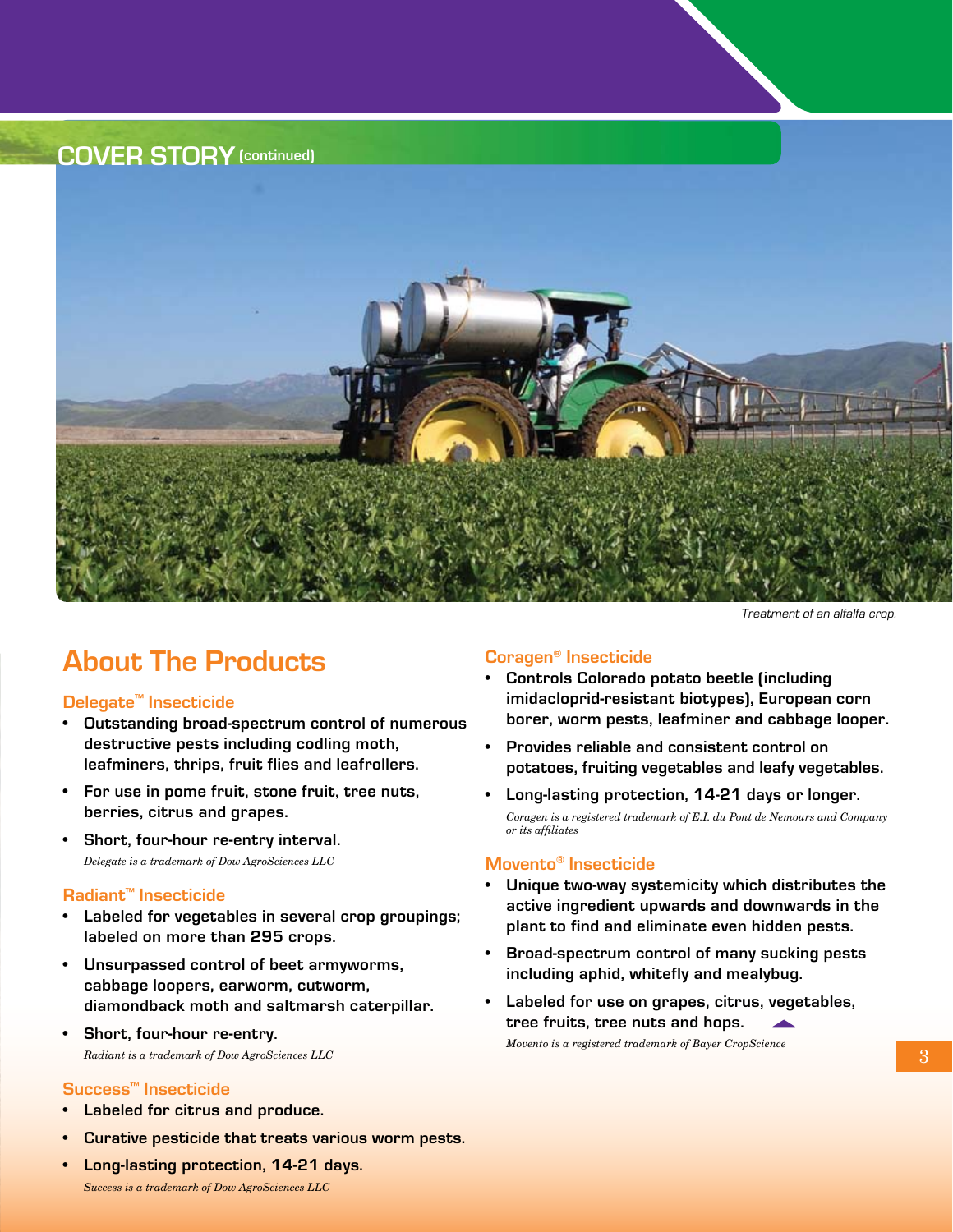**COVER STORY(continued)**



Treatment of an alfalfa crop.

### **About The Products**

#### **Delegate™ Insecticide**

- **• Outstanding broad-spectrum control of numerous destructive pests including codling moth, leafminers, thrips, fruit flies and leafrollers.**
- **• For use in pome fruit, stone fruit, tree nuts, berries, citrus and grapes.**
- **• Short, four-hour re-entry interval.** *Delegate is a trademark of Dow AgroSciences LLC*

#### **Radiant™ Insecticide**

- Labeled for vegetables in several crop groupings; **labeled on more than 295 crops.**
- **• Unsurpassed control of beet armyworms, cabbage loopers, earworm, cutworm, diamondback moth and saltmarsh caterpillar.**
- **• Short, four-hour re-entry.** *Radiant is a trademark of Dow AgroSciences LLC*

#### **Success™ Insecticide**

- **Labeled for citrus and produce.**
- **Curative pesticide that treats various worm pests.**
- **• Long-lasting protection, 14-21 days.** *Success is a trademark of Dow AgroSciences LLC*

#### **Coragen® Insecticide**

- **• Controls Colorado potato beetle (including imidacloprid-resistant biotypes), European corn borer, worm pests, leafminer and cabbage looper.**
- **• Provides reliable and consistent control on potatoes, fruiting vegetables and leafy vegetables.**
- **• Long-lasting protection, 14-21 days or longer.** *Coragen is a registered trademark of E.I. du Pont de Nemours and Company or its affiliates*

#### **Movento® Insecticide**

- **Unique two-way systemicity which distributes the active ingredient upwards and downwards in the plant to find and eliminate even hidden pests.**
- **• Broad-spectrum control of many sucking pests including aphid, whitefly and mealybug.**
- Labeled for use on grapes, citrus, vegetables, **tree fruits, tree nuts and hops.**  *Movento is a registered trademark of Bayer CropScience*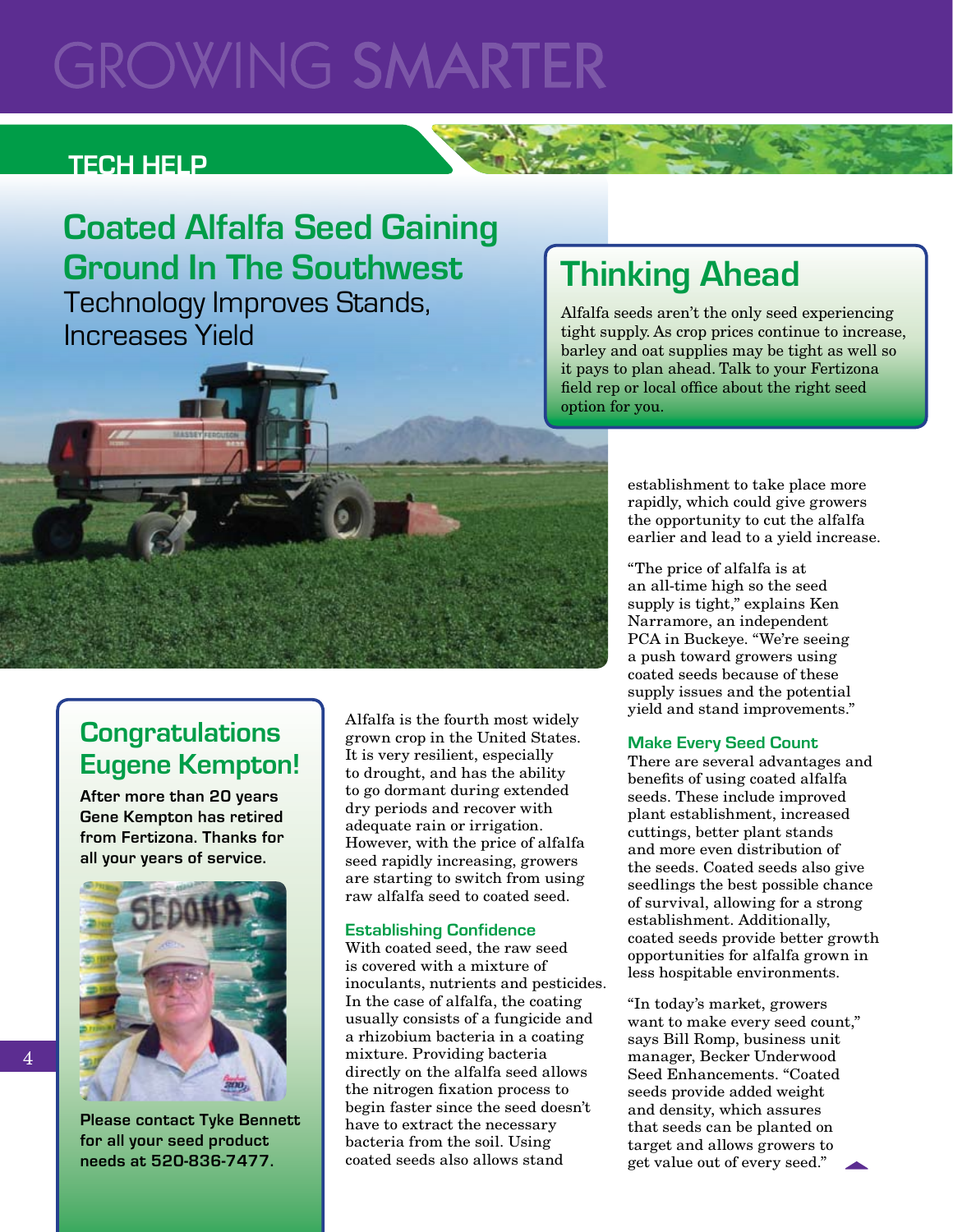# GROWING SMARTE

### **Tech Help**

# **Coated Alfalfa Seed Gaining Ground In The Southwest**

Technology Improves Stands, Increases Yield

# **Thinking Ahead**

Alfalfa seeds aren't the only seed experiencing tight supply. As crop prices continue to increase, barley and oat supplies may be tight as well so it pays to plan ahead. Talk to your Fertizona field rep or local office about the right seed option for you.

> establishment to take place more rapidly, which could give growers the opportunity to cut the alfalfa earlier and lead to a yield increase.

"The price of alfalfa is at an all-time high so the seed supply is tight," explains Ken Narramore, an independent PCA in Buckeye. "We're seeing a push toward growers using coated seeds because of these supply issues and the potential yield and stand improvements."

#### **Make Every Seed Count**

There are several advantages and benefits of using coated alfalfa seeds. These include improved plant establishment, increased cuttings, better plant stands and more even distribution of the seeds. Coated seeds also give seedlings the best possible chance of survival, allowing for a strong establishment. Additionally, coated seeds provide better growth opportunities for alfalfa grown in less hospitable environments.

"In today's market, growers want to make every seed count," says Bill Romp, business unit manager, Becker Underwood Seed Enhancements. "Coated seeds provide added weight and density, which assures that seeds can be planted on target and allows growers to get value out of every seed."

## **Congratulations Eugene Kempton!**

**After more than 20 years Gene Kempton has retired from Fertizona. Thanks for all your years of service.** 



Alfalfa is the fourth most widely grown crop in the United States. It is very resilient, especially to drought, and has the ability to go dormant during extended dry periods and recover with adequate rain or irrigation. However, with the price of alfalfa seed rapidly increasing, growers are starting to switch from using raw alfalfa seed to coated seed.

#### **Establishing Confidence**

With coated seed, the raw seed is covered with a mixture of inoculants, nutrients and pesticides. In the case of alfalfa, the coating usually consists of a fungicide and a rhizobium bacteria in a coating mixture. Providing bacteria directly on the alfalfa seed allows the nitrogen fixation process to begin faster since the seed doesn't have to extract the necessary bacteria from the soil. Using coated seeds also allows stand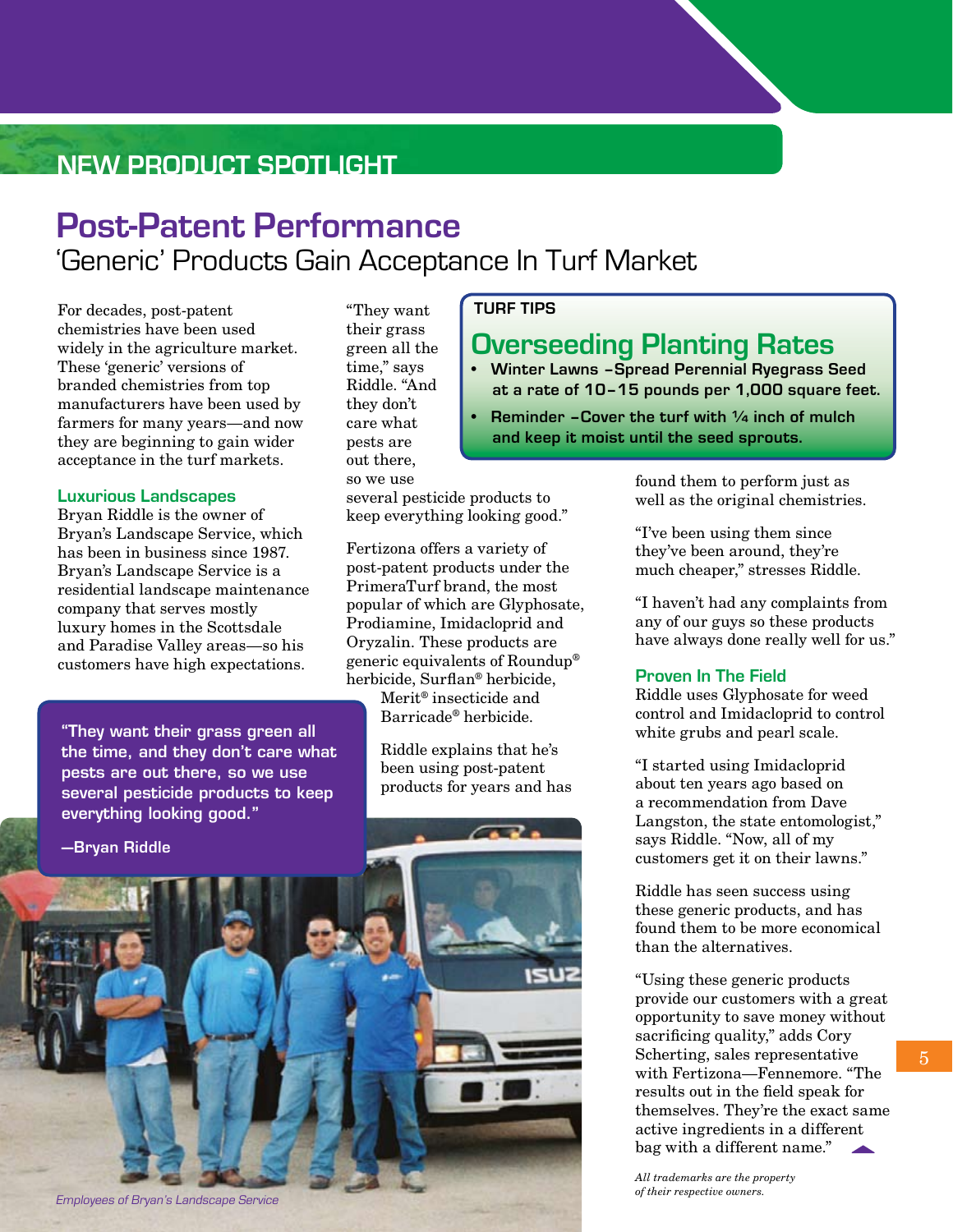## **New Product Spotlight**

# **Post-Patent Performance** 'Generic' Products Gain Acceptance In Turf Market

For decades, post-patent chemistries have been used widely in the agriculture market. These 'generic' versions of branded chemistries from top manufacturers have been used by farmers for many years—and now they are beginning to gain wider acceptance in the turf markets.

#### **Luxurious Landscapes**

Bryan Riddle is the owner of Bryan's Landscape Service, which has been in business since 1987. Bryan's Landscape Service is a residential landscape maintenance company that serves mostly luxury homes in the Scottsdale and Paradise Valley areas—so his customers have high expectations.

"They want their grass green all the time, and they don't care what pests are out there, so we use several pesticide products to keep everything looking good."

**—Bryan Riddle**



several pesticide products to keep everything looking good."

Fertizona offers a variety of post-patent products under the PrimeraTurf brand, the most popular of which are Glyphosate, Prodiamine, Imidacloprid and Oryzalin. These products are generic equivalents of Roundup® herbicide, Surflan® herbicide,

> Merit® insecticide and Barricade® herbicide.

Riddle explains that he's been using post-patent products for years and has

#### **TURF TIPS**

### **Overseeding Planting Rates**

**• Winter Lawns –Spread Perennial Ryegrass Seed at a rate of 10–15 pounds per 1,000 square feet.**

**Reminder -Cover the turf with 1/4 inch of mulch and keep it moist until the seed sprouts.** 

> found them to perform just as well as the original chemistries.

"I've been using them since they've been around, they're much cheaper," stresses Riddle.

"I haven't had any complaints from any of our guys so these products have always done really well for us."

#### **Proven In The Field**

Riddle uses Glyphosate for weed control and Imidacloprid to control white grubs and pearl scale.

"I started using Imidacloprid about ten years ago based on a recommendation from Dave Langston, the state entomologist," says Riddle. "Now, all of my customers get it on their lawns."

Riddle has seen success using these generic products, and has found them to be more economical than the alternatives.

"Using these generic products provide our customers with a great opportunity to save money without sacrificing quality," adds Cory Scherting, sales representative with Fertizona—Fennemore. "The results out in the field speak for themselves. They're the exact same active ingredients in a different bag with a different name."

*All trademarks are the property of their respective owners.*

Employees of Bryan's Landscape Service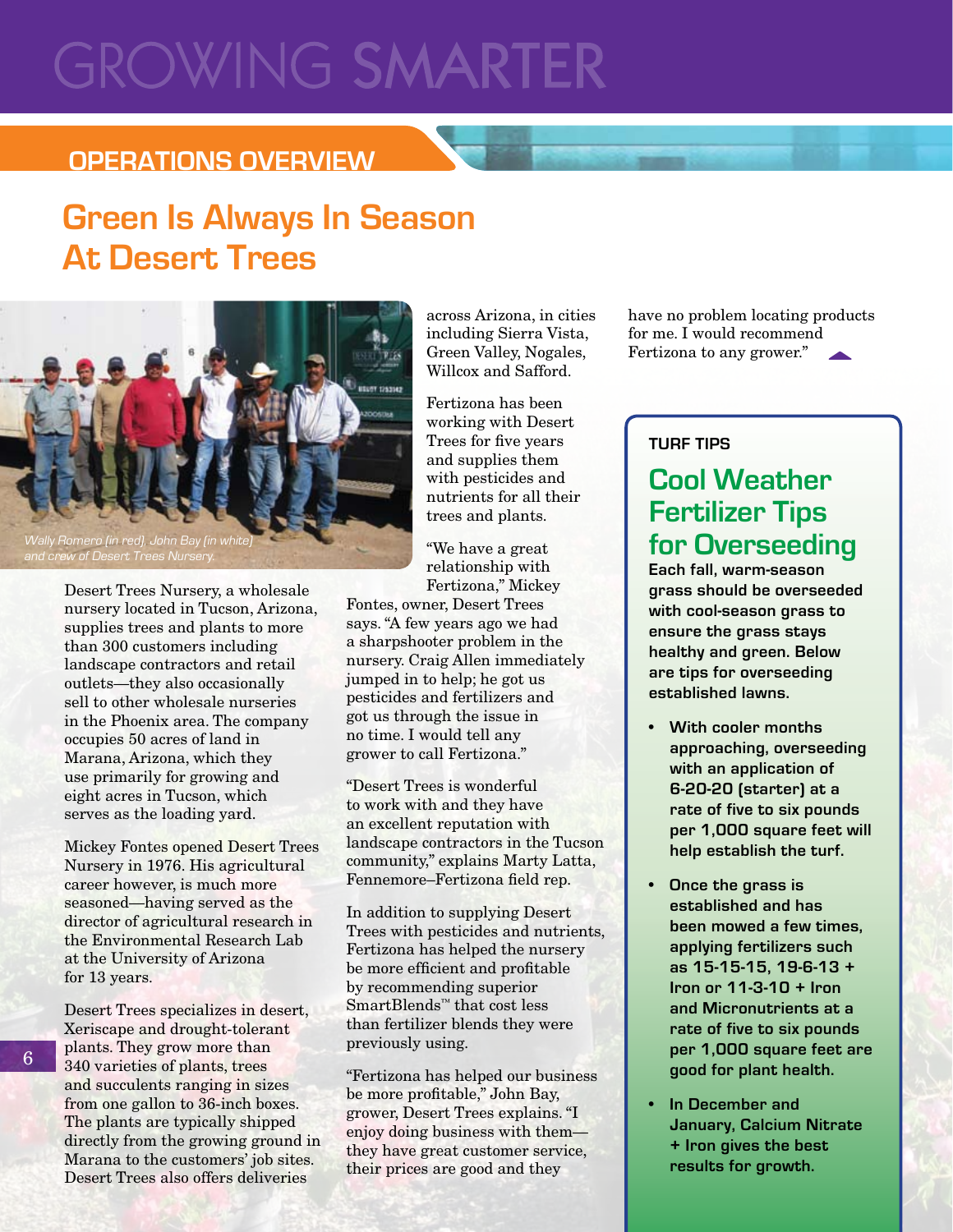# **GROWING SMARTER**

### **Operations overview**

# **Green Is Always In Season At Desert Trees**



Desert Trees Nursery, a wholesale nursery located in Tucson, Arizona, supplies trees and plants to more than 300 customers including landscape contractors and retail outlets—they also occasionally sell to other wholesale nurseries in the Phoenix area. The company occupies 50 acres of land in Marana, Arizona, which they use primarily for growing and eight acres in Tucson, which serves as the loading yard.

Mickey Fontes opened Desert Trees Nursery in 1976. His agricultural career however, is much more seasoned—having served as the director of agricultural research in the Environmental Research Lab at the University of Arizona for 13 years.

Desert Trees specializes in desert, Xeriscape and drought-tolerant plants. They grow more than 340 varieties of plants, trees and succulents ranging in sizes from one gallon to 36-inch boxes. The plants are typically shipped directly from the growing ground in Marana to the customers' job sites. Desert Trees also offers deliveries

across Arizona, in cities including Sierra Vista, Green Valley, Nogales, Willcox and Safford.

Fertizona has been working with Desert Trees for five years and supplies them with pesticides and nutrients for all their trees and plants.

"We have a great relationship with Fertizona," Mickey

Fontes, owner, Desert Trees says. "A few years ago we had a sharpshooter problem in the nursery. Craig Allen immediately jumped in to help; he got us pesticides and fertilizers and got us through the issue in no time. I would tell any grower to call Fertizona."

"Desert Trees is wonderful to work with and they have an excellent reputation with landscape contractors in the Tucson community," explains Marty Latta, Fennemore–Fertizona field rep.

In addition to supplying Desert Trees with pesticides and nutrients, Fertizona has helped the nursery be more efficient and profitable by recommending superior SmartBlends™ that cost less than fertilizer blends they were previously using.

"Fertizona has helped our business be more profitable," John Bay, grower, Desert Trees explains. "I enjoy doing business with them they have great customer service, their prices are good and they

have no problem locating products for me. I would recommend Fertizona to any grower."

#### **TURF TIPS**

## **Cool Weather Fertilizer Tips for Overseeding**

**Each fall, warm-season grass should be overseeded with cool-season grass to ensure the grass stays healthy and green. Below are tips for overseeding established lawns.**

- **• With cooler months approaching, overseeding with an application of 6-20-20 (starter) at a rate of five to six pounds per 1,000 square feet will help establish the turf.**
- **Once the grass is established and has been mowed a few times, applying fertilizers such as 15-15-15, 19-6-13 + Iron or 11-3-10 + Iron and Micronutrients at a rate of five to six pounds per 1,000 square feet are good for plant health.**
- **In December and January, Calcium Nitrate + Iron gives the best results for growth.**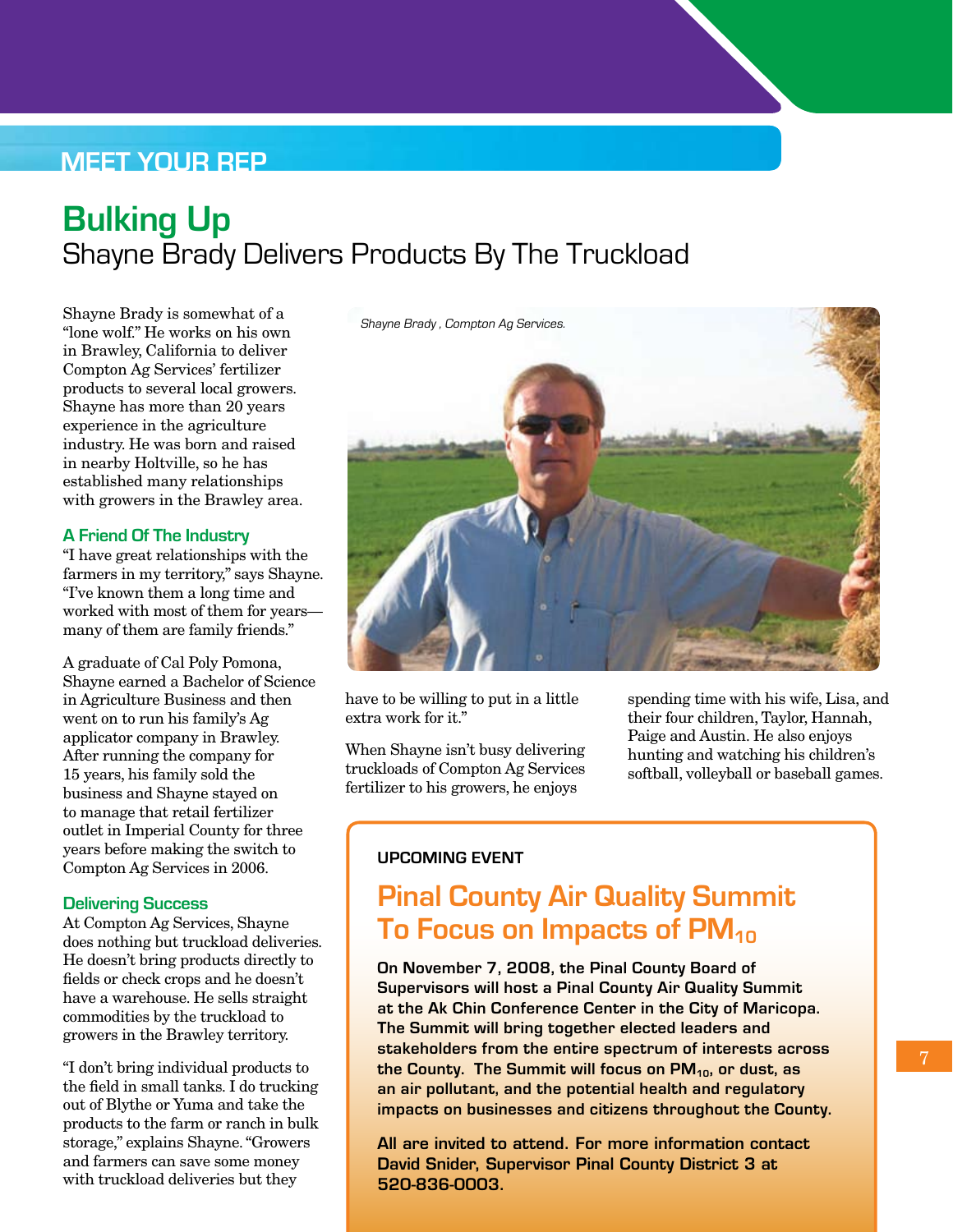### **Meet Your Rep**

# **Bulking Up** Shayne Brady Delivers Products By The Truckload

Shayne Brady is somewhat of a "lone wolf." He works on his own in Brawley, California to deliver Compton Ag Services' fertilizer products to several local growers. Shayne has more than 20 years experience in the agriculture industry. He was born and raised in nearby Holtville, so he has established many relationships with growers in the Brawley area.

#### **A Friend Of The Industry**

"I have great relationships with the farmers in my territory," says Shayne. "I've known them a long time and worked with most of them for years many of them are family friends."

A graduate of Cal Poly Pomona, Shayne earned a Bachelor of Science in Agriculture Business and then went on to run his family's Ag applicator company in Brawley. After running the company for 15 years, his family sold the business and Shayne stayed on to manage that retail fertilizer outlet in Imperial County for three years before making the switch to Compton Ag Services in 2006.

#### **Delivering Success**

At Compton Ag Services, Shayne does nothing but truckload deliveries. He doesn't bring products directly to fields or check crops and he doesn't have a warehouse. He sells straight commodities by the truckload to growers in the Brawley territory.

"I don't bring individual products to the field in small tanks. I do trucking out of Blythe or Yuma and take the products to the farm or ranch in bulk storage," explains Shayne. "Growers and farmers can save some money with truckload deliveries but they



have to be willing to put in a little extra work for it."

When Shayne isn't busy delivering truckloads of Compton Ag Services fertilizer to his growers, he enjoys

spending time with his wife, Lisa, and their four children, Taylor, Hannah, Paige and Austin. He also enjoys hunting and watching his children's softball, volleyball or baseball games.

#### **UPCOMING EVENT**

## **Pinal County Air Quality Summit To Focus on Impacts of PM<sub>10</sub>**

**On November 7, 2008, the Pinal County Board of Supervisors will host a Pinal County Air Quality Summit at the Ak Chin Conference Center in the City of Maricopa. The Summit will bring together elected leaders and stakeholders from the entire spectrum of interests across**  the County. The Summit will focus on PM<sub>10</sub>, or dust, as **an air pollutant, and the potential health and regulatory impacts on businesses and citizens throughout the County.**

All are invited to attend. For more information contact David Snider, Supervisor Pinal County District 3 at 520-836-0003.